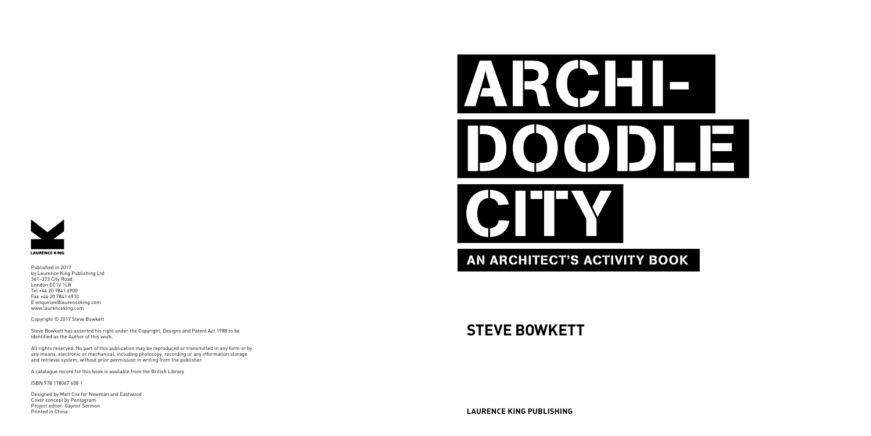### **STEVE BOWKETT**





Published in 2017 by Laurence King Publishing Ltd 361–373 City Road London EC1V 1LR Tel +44 20 7841 6900 Fax +44 20 7841 6910 E enquiries@laurenceking.com www.laurenceking.com

Copyright © 2017 Steve Bowkett

Steve Bowkett has asserted his right under the Copyright, Designs and Patent Act 1988 to be identified as the Author of this work.

All rights reserved. No part of this publication may be reproduced or transmitted in any form or by any means, electronic or mechanical, including photocopy, recording or any information storage and retrieval system, without prior permission in writing from the publisher.

A catalogue record for this book is available from the British Library

ISBN 978 178067 608 1

Designed by Matt Cox for Newman and Eastwood Cover concept by Pentagram Project editor: Gaynor Sermon Printed in China

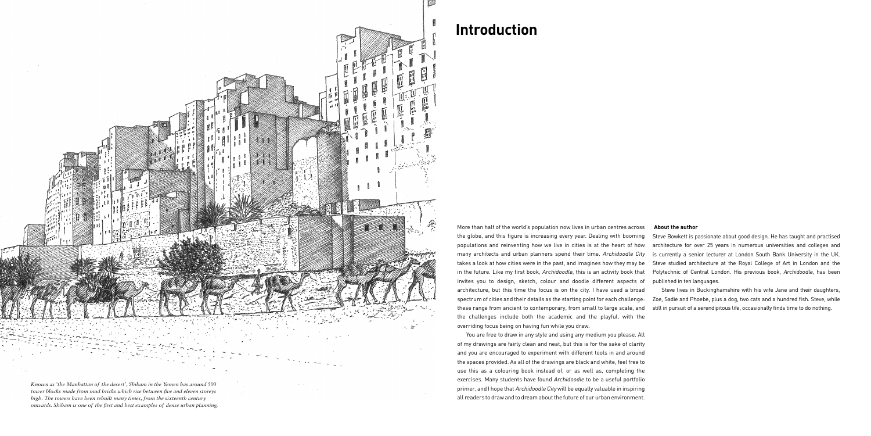More than half of the world's population now lives in urban centres across the globe, and this figure is increasing every year. Dealing with booming populations and reinventing how we live in cities is at the heart of how many architects and urban planners spend their time. Archidoodle City takes a look at how cities were in the past, and imagines how they may be in the future. Like my first book, Archidoodle, this is an activity book that invites you to design, sketch, colour and doodle different aspects of architecture, but this time the focus is on the city. I have used a broad spectrum of cities and their details as the starting point for each challenge: these range from ancient to contemporary, from small to large scale, and the challenges include both the academic and the playful, with the overriding focus being on having fun while you draw. **About the author** Steve Bowkett is passionate about good design. He has taught and practised architecture for over 25 years in numerous universities and colleges and is currently a senior lecturer at London South Bank University in the UK. Steve studied architecture at the Royal College of Art in London and the Polytechnic of Central London. His previous book, Archidoodle, has been published in ten languages. Steve lives in Buckinghamshire with his wife Jane and their daughters, Zoe, Sadie and Phoebe, plus a dog, two cats and a hundred fish. Steve, while still in pursuit of a serendipitous life, occasionally finds time to do nothing.

You are free to draw in any style and using any medium you please. All of my drawings are fairly clean and neat, but this is for the sake of clarity and you are encouraged to experiment with different tools in and around the spaces provided. As all of the drawings are black and white, feel free to use this as a colouring book instead of, or as well as, completing the exercises. Many students have found Archidoodle to be a useful portfolio primer, and I hope that Archidoodle City will be equally valuable in inspiring all readers to draw and to dream about the future of our urban environment.

### **Introduction**

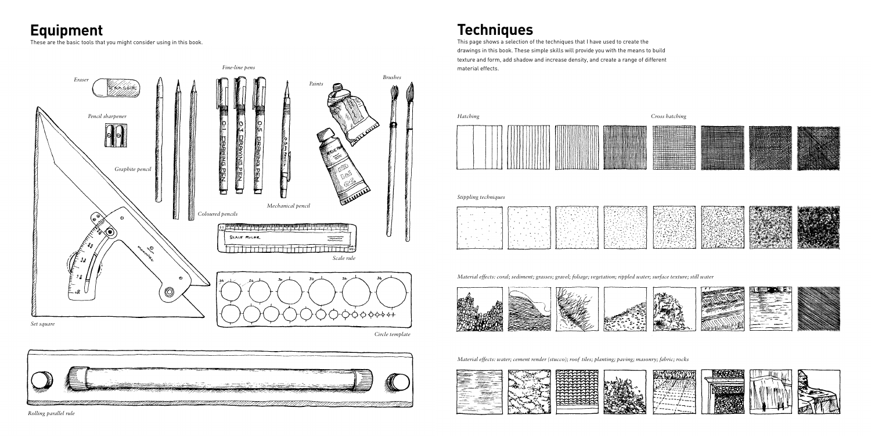# **Equipment**

These are the basic tools that you might consider using in this book.



*Rolling parallel rule*

*Circle template*



**Techniques**

This page shows a selection of the techniques that I have used to create the drawings in this book. These simple skills will provide you with the means to build texture and form, add shadow and increase density, and create a range of different material effects.





### *Material effects: coral; sediment; grasses; gravel; foliage; vegetation; rippled water; surface texture; still water*



*Material effects: water; cement render (stucco); roof tiles; planting; paving; masonry; fabric; rocks*



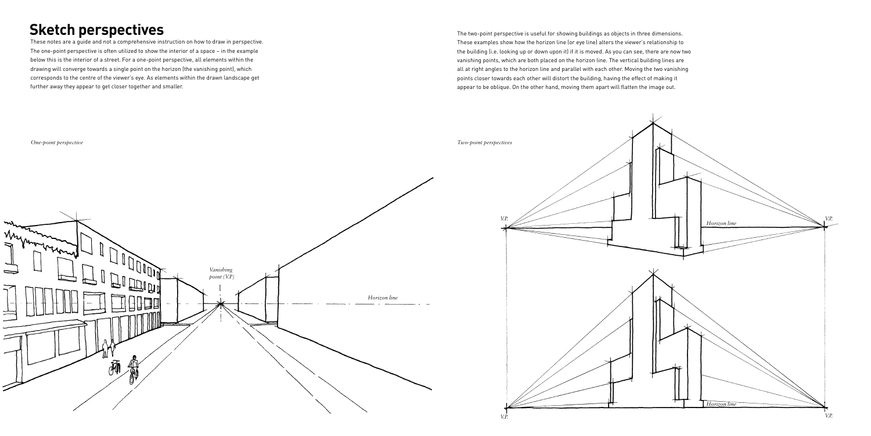## **Sketch perspectives**

These notes are a guide and not a comprehensive instruction on how to draw in perspective. The one-point perspective is often utilized to show the interior of a space – in the example below this is the interior of a street. For a one-point perspective, all elements within the drawing will converge towards a single point on the horizon (the vanishing point), which corresponds to the centre of the viewer's eye. As elements within the drawn landscape get further away they appear to get closer together and smaller.

The two-point perspective is useful for showing buildings as objects in three dimensions. These examples show how the horizon line (or eye line) alters the viewer's relationship to the building (i.e. looking up or down upon it) if it is moved. As you can see, there are now two vanishing points, which are both placed on the horizon line. The vertical building lines are all at right angles to the horizon line and parallel with each other. Moving the two vanishing points closer towards each other will distort the building, having the effect of making it appear to be oblique. On the other hand, moving them apart will flatten the image out.

*One-point perspective*







*V.P.*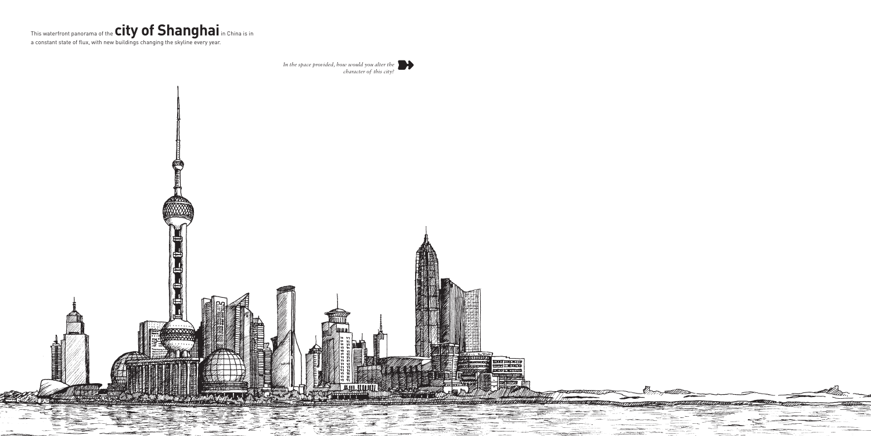

a constant state of flux, with new buildings changing the skyline every year.



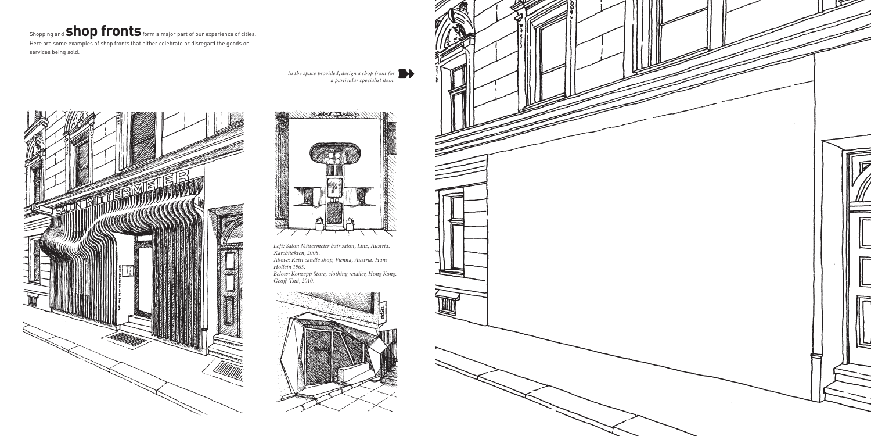# Shopping and **ShOP fronts** form a major part of our experience of cities.

Here are some examples of shop fronts that either celebrate or disregard the goods or services being sold.





*In the space provided, design a shop front for a particular specialist item.*

*Left: Salon Mittermeier hair salon, Linz, Austria. Xarchitekten, 2008. Above: Retti candle shop, Vienna, Austria. Hans Hollein 1965.*

*Below: Konzepp Store, clothing retailer, Hong Kong. Geoff Tsui, 2010.*



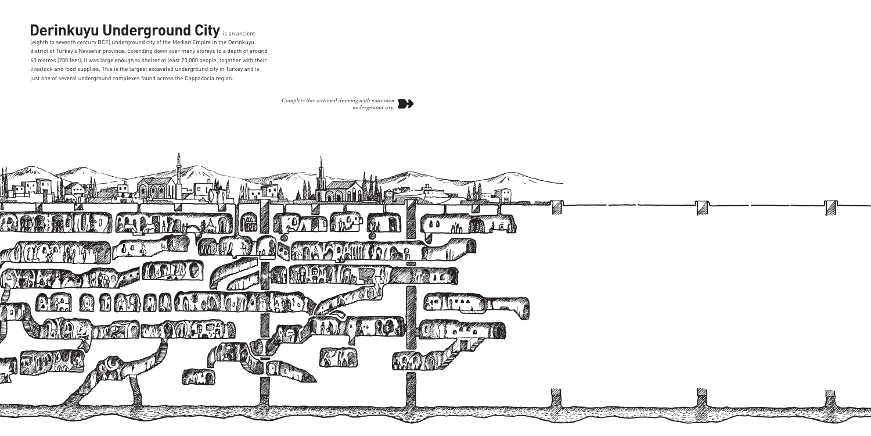# **Derinkuyu Underground City is an ancient**

(eighth to seventh century BCE) underground city of the Median Empire in the Derinkuyu district of Turkey's Nevsehir province. Extending down over many storeys to a depth of around 60 metres (200 feet), it was large enough to shelter at least 20,000 people, together with their livestock and food supplies. This is the largest excavated underground city in Turkey and is just one of several underground complexes found across the Cappadocia region.

> *Complete this sectional drawing with your own underground city.*